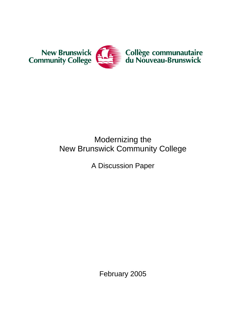

# Modernizing the New Brunswick Community College

A Discussion Paper

February 2005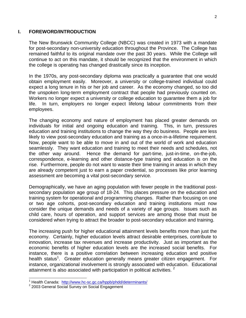#### 2

#### **I. FOREWORD/INTRODUCTION**

The New Brunswick Community College (NBCC) was created in 1973 with a mandate for post-secondary non-university education throughout the Province. The College has remained faithful to its original mandate over the past 30 years. While the College will continue to act on this mandate, it should be recognized that the environment in which the college is operating has changed drastically since its inception.

In the 1970s, any post-secondary diploma was practically a guarantee that one would obtain employment easily. Moreover, a university or college-trained individual could expect a long tenure in his or her job and career. As the economy changed, so too did the unspoken long-term employment contract that people had previously counted on. Workers no longer expect a university or college education to guarantee them a job for life. In turn, employers no longer expect lifelong labour commitments from their employees.

The changing economy and nature of employment has placed greater demands on individuals for initial and ongoing education and training. This, in turn, pressures education and training institutions to change the way they do business. People are less likely to view post-secondary education and training as a once-in-a-lifetime requirement. Now, people want to be able to move in and out of the world of work and education seamlessly. They want education and training to meet their needs and schedules, not the other way around. Hence the demand for part-time, just-in-time, on-the-job, correspondence, e-learning and other distance-type training and education is on the rise. Furthermore, people do not want to waste their time training in areas in which they are already competent just to earn a paper credential, so processes like prior learning assessment are becoming a vital post-secondary service.

Demographically, we have an aging population with fewer people in the traditional postsecondary population age group of 18-24. This places pressure on the education and training system for operational and programming changes. Rather than focusing on one or two age cohorts, post-secondary education and training institutions must now consider the unique demands and needs of a variety of age groups. Issues such as child care, hours of operation, and support services are among those that must be considered when trying to attract the broader to post-secondary education and training.

The increasing push for higher educational attainment levels benefits more than just the economy. Certainly, higher education levels attract desirable enterprises, contribute to innovation, increase tax revenues and increase productivity. Just as important as the economic benefits of higher education levels are the increased social benefits. For instance, there is a positive correlation between increasing education and positive health status<sup>1</sup>. Greater education generally means greater citizen engagement. For instance, organizational involvement is strongly associated with education. Educational attainment is also associated with participation in political activities.  $2$ 

l

<sup>&</sup>lt;sup>1</sup> Health Canada: http://www.hc-sc.gc.ca/hppb/phdd/determinants/<br><sup>2</sup> 2002 Canaral Seciel Survey on Seciel Engegament

<sup>&</sup>lt;sup>2</sup> 2003 General Social Survey on Social Engagement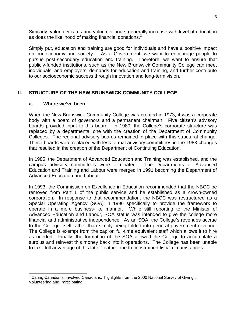Similarly, volunteer rates and volunteer hours generally increase with level of education as does the likelihood of making financial donations. $3$ 

Simply put, education and training are good for individuals and have a positive impact on our economy and society. As a Government, we want to encourage people to pursue post-secondary education and training. Therefore, we want to ensure that publicly-funded institutions, such as the New Brunswick Community College can meet individuals' and employers' demands for education and training, and further contribute to our socioeconomic success through innovation and long-term vision.

# **II. STRUCTURE OF THE NEW BRUNSWICK COMMUNITY COLLEGE**

#### **a. Where we've been**

When the New Brunswick Community College was created in 1973, it was a corporate body with a board of governors and a permanent chairman. Five citizen's advisory boards provided input to this board. In 1980, the College's corporate structure was replaced by a departmental one with the creation of the Department of Community Colleges. The regional advisory boards remained in place with this structural change. These boards were replaced with less formal advisory committees in the 1983 changes that resulted in the creation of the Department of Continuing Education.

In 1985, the Department of Advanced Education and Training was established, and the campus advisory committees were eliminated. The Departments of Advanced Education and Training and Labour were merged in 1991 becoming the Department of Advanced Education and Labour.

In 1993, the Commission on Excellence in Education recommended that the NBCC be removed from Part 1 of the public service and be established as a crown-owned corporation. In response to that recommendation, the NBCC was restructured as a Special Operating Agency (SOA) in 1996 specifically to provide the framework to operate in a more business-like manner. While still reporting to the Minister of Advanced Education and Labour, SOA status was intended to give the college more financial and administrative independence. As an SOA, the College's revenues accrue to the College itself rather than simply being folded into general government revenue. The College is exempt from the cap on full-time equivalent staff which allows it to hire as needed. Finally, the formation of the SOA allowed the College to accumulate a surplus and reinvest this money back into it operations. The College has been unable to take full advantage of this latter feature due to constrained fiscal circumstances.

 3 Caring Canadians, involved Canadians: highlights from the 2000 National Survey of Giving , Volunteering and Participating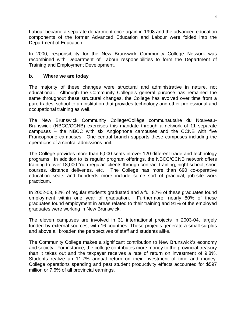Labour became a separate department once again in 1998 and the advanced education components of the former Advanced Education and Labour were folded into the Department of Education.

In 2000, responsibility for the New Brunswick Community College Network was recombined with Department of Labour responsibilities to form the Department of Training and Employment Development.

#### **b. Where we are today**

The majority of these changes were structural and administrative in nature, not educational. Although the Community College's general purpose has remained the same throughout these structural changes, the College has evolved over time from a pure trades' school to an institution that provides technology and other professional and occupational training as well.

The New Brunswick Community College/Collège communautaire du Nouveau-Brunswick (NBCC/CCNB) exercises this mandate through a network of 11 separate campuses – the NBCC with six Anglophone campuses and the CCNB with five Francophone campuses. One central branch supports these campuses including the operations of a central admissions unit.

The College provides more than 6,000 seats in over 120 different trade and technology programs. In addition to its regular program offerings, the NBCC/CCNB network offers training to over 18,000 "non-regular" clients through contract training, night school, short courses, distance deliveries, etc. The College has more than 690 co-operative education seats and hundreds more include some sort of practical, job-site work practicum.

In 2002-03, 82% of regular students graduated and a full 87% of these graduates found employment within one year of graduation. Furthermore, nearly 80% of these graduates found employment in areas related to their training and 91% of the employed graduates were working in New Brunswick.

The eleven campuses are involved in 31 international projects in 2003-04, largely funded by external sources, with 16 countries. These projects generate a small surplus and above all broaden the perspectives of staff and students alike.

The Community College makes a significant contribution to New Brunswick's economy and society. For instance, the college contributes more money to the provincial treasury than it takes out and the taxpayer receives a rate of return on investment of 9.8%. Students realize an 11.7% annual return on their investment of time and money. College operations spending and past student productivity effects accounted for \$597 million or 7.6% of all provincial earnings.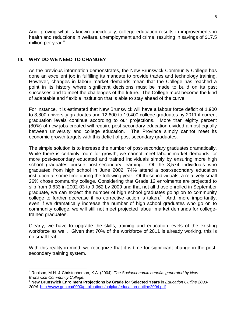And, proving what is known anecdotally, college education results in improvements in health and reductions in welfare, unemployment and crime, resulting in savings of \$17.5 million per year. $4$ 

### **III. WHY DO WE NEED TO CHANGE?**

l

As the previous information demonstrates, the New Brunswick Community College has done an excellent job in fulfilling its mandate to provide trades and technology training. However, changes in labour market demands mean that the College has reached a point in its history where significant decisions must be made to build on its past successes and to meet the challenges of the future. The College must become the kind of adaptable and flexible institution that is able to stay ahead of the curve.

For instance, it is estimated that New Brunswick will have a labour force deficit of 1,900 to 8,800 university graduates and 12,600 to 19,400 college graduates by 2011 if current graduation levels continue according to our projections. More than eighty percent (80%) of new jobs created will require post-secondary education divided almost equally between university and college education. The Province simply cannot meet its economic growth targets with this deficit of post-secondary graduates.

The simple solution is to increase the number of post-secondary graduates dramatically. While there is certainly room for growth, we cannot meet labour market demands for more post-secondary educated and trained individuals simply by ensuring more high school graduates pursue post-secondary learning. Of the 8,574 individuals who graduated from high school in June 2002, 74% attend a post-secondary education institution at some time during the following year. Of those individuals, a relatively small 26% chose community college. Considering that Grade 12 enrolments are projected to slip from 9,633 in 2002-03 to 9,062 by 2009 and that not all those enrolled in September graduate, we can expect the number of high school graduates going on to community college to further decrease if no corrective action is taken.<sup>5</sup> And, more importantly, even if we dramatically increase the number of high school graduates who go on to community college, we will still not meet projected labour market demands for collegetrained graduates.

Clearly, we have to upgrade the skills, training and education levels of the existing workforce as well. Given that 70% of the workforce of 2011 is already working, this is no small feat.

With this reality in mind, we recognize that it is time for significant change in the postsecondary training system.

<sup>4</sup> Robison, M.H. & Christopherson, K.A. (2004). *The Socioeconomic benefits generated by New Brunswick Community College.*

<sup>5</sup> **New Brunswick Enrolment Projections by Grade for Selected Years** in *Education Outline 2003- 2004.* http://www.gnb.ca/0000/publications/polplan/education-outline2004.pdf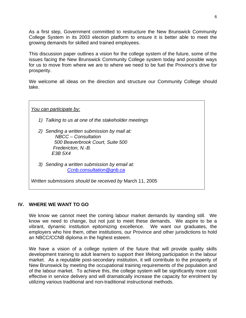As a first step, Government committed to restructure the New Brunswick Community College System in its 2003 election platform to ensure it is better able to meet the growing demands for skilled and trained employees.

This discussion paper outlines a vision for the college system of the future, some of the issues facing the New Brunswick Community College system today and possible ways for us to move from where we are to where we need to be fuel the Province's drive for prosperity.

We welcome all ideas on the direction and structure our Community College should take.

*You can participate by:*

- *1) Talking to us at one of the stakeholder meetings*
- *2) Sending a written submission by mail at: NBCC – Consultation 500 Beaverbrook Court, Suite 500 Fredericton, N.-B. E3B 5X4*
- *3) Sending a written submission by email at: Ccnb.consultation@gnb.ca*

*Written submissions should be received by* March 11, 2005

#### **IV. WHERE WE WANT TO GO**

We know we cannot meet the coming labour market demands by standing still. We know we need to change, but not just to meet these demands. We aspire to be a vibrant, dynamic institution epitomizing excellence. We want our graduates, the employers who hire them, other institutions, our Province and other jurisdictions to hold an NBCC/CCNB diploma in the highest esteem.

We have a vision of a college system of the future that will provide quality skills development training to adult learners to support their lifelong participation in the labour market. As a reputable post-secondary institution, it will contribute to the prosperity of New Brunswick by meeting the occupational training requirements of the population and of the labour market. To achieve this, the college system will be significantly more cost effective in service delivery and will dramatically increase the capacity for enrolment by utilizing various traditional and non-traditional instructional methods.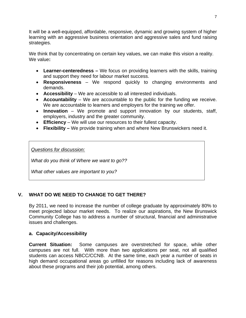It will be a well-equipped, affordable, responsive, dynamic and growing system of higher learning with an aggressive business orientation and aggressive sales and fund raising strategies.

We think that by concentrating on certain key values, we can make this vision a reality. We value**:** 

- **Learner-centeredness** We focus on providing learners with the skills, training and support they need for labour market success.
- **Responsiveness** We respond quickly to changing environments and demands.
- **Accessibility** We are accessible to all interested individuals.
- **Accountability**  We are accountable to the public for the funding we receive. We are accountable to learners and employers for the training we offer.
- **Innovation** We promote and support innovation by our students, staff, employers, industry and the greater community.
- **Efficiency** We will use our resources to their fullest capacity.
- **Flexibility** We provide training when and where New Brunswickers need it.

*Questions for discussion:*

*What do you think of Where we want to go??* 

*What other values are important to you?* 

# **V. WHAT DO WE NEED TO CHANGE TO GET THERE?**

By 2011, we need to increase the number of college graduate by approximately 80% to meet projected labour market needs. To realize our aspirations, the New Brunswick Community College has to address a number of structural, financial and administrative issues and challenges.

# **a. Capacity/Accessibility**

**Current Situation:** Some campuses are overstretched for space, while other campuses are not full. With more than two applications per seat, not all qualified students can access NBCC/CCNB. At the same time, each year a number of seats in high demand occupational areas go unfilled for reasons including lack of awareness about these programs and their job potential, among others.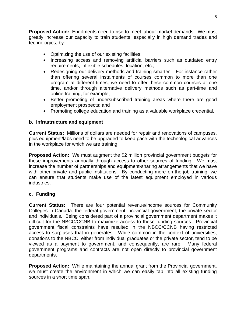**Proposed Action:** Enrolments need to rise to meet labour market demands. We must greatly increase our capacity to train students, especially in high demand trades and technologies, by:

- Optimizing the use of our existing facilities;
- Increasing access and removing artificial barriers such as outdated entry requirements, inflexible schedules, location, etc.;
- Redesigning our delivery methods and training smarter For instance rather than offering several instalments of courses common to more than one program at different times, we need to offer these common courses at one time, and/or through alternative delivery methods such as part-time and online training, for example;
- Better promoting of undersubscribed training areas where there are good employment prospects; and
- Promoting college education and training as a valuable workplace credential.

#### **b. Infrastructure and equipment**

**Current Status:** Millions of dollars are needed for repair and renovations of campuses, plus equipment/labs need to be upgraded to keep pace with the technological advances in the workplace for which we are training.

**Proposed Action:** We must augment the \$2 million provincial government budgets for these improvements annually through access to other sources of funding. We must increase the number of partnerships and equipment-sharing arrangements that we have with other private and public institutions. By conducting more on-the-job training, we can ensure that students make use of the latest equipment employed in various industries.

#### **c. Funding**

**Current Status:** There are four potential revenue/income sources for Community Colleges in Canada: the federal government, provincial government, the private sector and individuals. Being considered part of a provincial government department makes it difficult for the NBCC/CCNB to maximize access to these funding sources. Provincial government fiscal constraints have resulted in the NBCC/CCNB having restricted access to surpluses that in generates. While common in the context of universities, donations to the NBCC, either from individual graduates or the private sector, tend to be viewed as a payment to government, and consequently, are rare. Many federal government programs and contracts are not open directly to provincial government departments.

**Proposed Action:** While maintaining the annual grant from the Provincial government, we must create the environment in which we can easily tap into all existing funding sources in a short time span.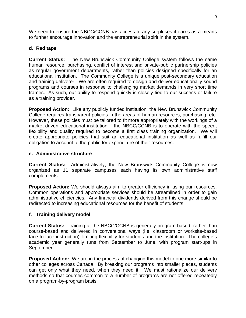We need to ensure the NBCC/CCNB has access to any surpluses it earns as a means to further encourage innovation and the entrepreneurial spirit in the system.

#### **d. Red tape**

**Current Status:** The New Brunswick Community College system follows the same human resource, purchasing, conflict of interest and private-public partnership policies as regular government departments, rather than policies designed specifically for an educational institution. The Community College is a unique post-secondary education and training deliverer. We are often required to design and deliver educationally-sound programs and courses in response to challenging market demands in very short time frames. As such, our ability to respond quickly is closely tied to our success or failure as a training provider.

**Proposed Action:** Like any publicly funded institution, the New Brunswick Community College requires transparent policies in the areas of human resources, purchasing, etc. However, these policies must be tailored to fit more appropriately with the workings of a market-driven educational institution if the NBCC/CCNB is to operate with the speed, flexibility and quality required to become a first class training organization. We will create appropriate policies that suit an educational institution as well as fulfill our obligation to account to the public for expenditure of their resources.

#### **e. Administrative structure**

**Current Status:** Administratively, the New Brunswick Community College is now organized as 11 separate campuses each having its own administrative staff complements.

**Proposed Action:** We should always aim to greater efficiency in using our resources. Common operations and appropriate services should be streamlined in order to gain administrative efficiencies. Any financial dividends derived from this change should be redirected to increasing educational resources for the benefit of students.

#### **f. Training delivery model**

**Current Status:** Training at the NBCC/CCNB is generally program-based, rather than course-based and delivered in conventional ways (i.e. classroom or worksite-based face-to-face instruction), limiting flexibility for students and the institution. The college's academic year generally runs from September to June, with program start-ups in September.

**Proposed Action:** We are in the process of changing this model to one more similar to other colleges across Canada. By breaking our programs into smaller pieces, students can get only what they need, when they need it. We must rationalize our delivery methods so that courses common to a number of programs are not offered repeatedly on a program-by-program basis.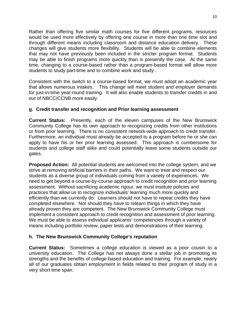Rather than offering five similar math courses for five different programs, resources would be used more effectively by offering one course in more than one time slot and through different means including classroom and distance education delivery. These changes will give students more flexibility. Students will be able to combine elements that may not have previously been included in the stricter program format. Students may be able to finish programs more quickly than is presently the case. At the same time, changing to a course-based rather than a program-based format will allow more students to study part-time and to combine work and study.

Consistent with the switch to a course-based format, we must adopt an academic year that allows numerous intakes. This change will meet student and employer demands for just-in-time year-round training. It will also enable students to transfer credits in and out of NBCC/CCNB more easily.

### **g. Credit transfer and recognition and Prior learning assessment**

**Current Status:** Presently, each of the eleven campuses of the New Brunswick Community College has its own approach to recognizing credits from other institutions or from prior learning. There is no consistent network-wide approach to credit transfer. Furthermore, an individual must already be accepted to a program before he or she can apply to have his or her prior learning assessed. This approach is cumbersome for students and college staff alike and could potentially leave some students outside our gates.

**Proposed Action:** All potential students are welcomed into the college system, and we strive at removing artificial barriers in their paths. We want to treat and respect our students as a diverse group of individuals coming from a variety of experiences. We need to get beyond a course-by-course approach to credit recognition and prior learning assessment. Without sacrificing academic rigour, we must institute policies and practices that allow us to recognize individuals' learning much more quickly and efficiently than we currently do. Learners should not have to repeat credits they have completed elsewhere. Nor should they have to relearn things in which they have already proven they are competent. The New Brunswick Community College must implement a consistent approach to credit recognition and assessment of prior learning. We must be able to assess individual applicants' competencies through a variety of means including portfolio review, paper tests and demonstrations of their learning.

# **h. The New Brunswick Community College's reputation**

**Current Status:** Sometimes a college education is viewed as a poor cousin to a university education. The College has not always done a stellar job in promoting its strengths and the benefits of college-based education and training. For example, nearly all of our graduates obtain employment in fields related to their program of study in a very short time span.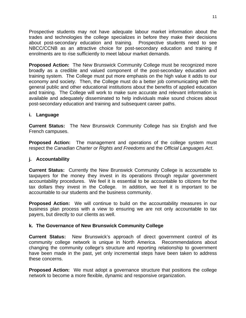Prospective students may not have adequate labour market information about the trades and technologies the college specializes in before they make their decisions about post-secondary education and training. Prospective students need to see NBCC/CCNB as an attractive choice for post-secondary education and training if enrolments are to rise sufficiently to meet labour market demands.

**Proposed Action:** The New Brunswick Community College must be recognized more broadly as a credible and valued component of the post-secondary education and training system. The College must put more emphasis on the high value it adds to our economy and society. Then, the College must do a better job communicating with the general public and other educational institutions about the benefits of applied education and training. The College will work to make sure accurate and relevant information is available and adequately disseminated to help individuals make sound choices about post-secondary education and training and subsequent career paths.

#### **i. Language**

**Current Status:** The New Brunswick Community College has six English and five French campuses.

**Proposed Action:** The management and operations of the college system must respect the *Canadian Charter or Rights and Freedoms* and the *Official Languages Act*.

#### **j. Accountability**

**Current Status:** Currently the New Brunswick Community College is accountable to taxpayers for the money they invest in its operations through regular government accountability procedures. We feel it is essential to be accountable to citizens for the tax dollars they invest in the College. In addition, we feel it is important to be accountable to our students and the business community.

**Proposed Action:** We will continue to build on the accountability measures in our business plan process with a view to ensuring we are not only accountable to tax payers, but directly to our clients as well.

#### **k. The Governance of New Brunswick Community College**

**Current Status:** New Brunswick's approach of direct government control of its community college network is unique in North America. Recommendations about changing the community college's structure and reporting relationship to government have been made in the past, yet only incremental steps have been taken to address these concerns.

**Proposed Action:** We must adopt a governance structure that positions the college network to become a more flexible, dynamic and responsive organization.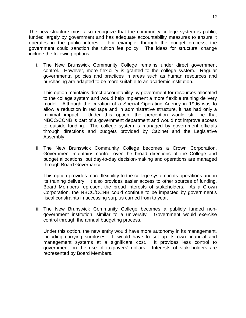The new structure must also recognize that the community college system is public, funded largely by government and has adequate accountability measures to ensure it operates in the public interest. For example, through the budget process, the government could sanction the tuition fee policy. The ideas for structural change include the following options:

i. The New Brunswick Community College remains under direct government control. However, more flexibility is granted to the college system. Regular governmental policies and practices in areas such as human resources and purchasing are adapted to be more suitable to an academic institution.

This option maintains direct accountability by government for resources allocated to the college system and would help implement a more flexible training delivery model. Although the creation of a Special Operating Agency in 1996 was to allow a reduction in red tape and in administrative structure, it has had only a minimal impact. Under this option, the perception would still be that NBCC/CCNB is part of a government department and would not improve access to outside funding. The college system is managed by government officials through directions and budgets provided by Cabinet and the Legislative Assembly.

ii. The New Brunswick Community College becomes a Crown Corporation. Government maintains control over the broad directions of the College and budget allocations, but day-to-day decision-making and operations are managed through Board Governance.

This option provides more flexibility to the college system in its operations and in its training delivery. It also provides easier access to other sources of funding. Board Members represent the broad interests of stakeholders. As a Crown Corporation, the NBCC/CCNB could continue to be impacted by government's fiscal constraints in accessing surplus carried from to year.

iii. The New Brunswick Community College becomes a publicly funded nongovernment institution, similar to a university. Government would exercise control through the annual budgeting process.

Under this option, the new entity would have more autonomy in its management, including carrying surpluses. It would have to set up its own financial and management systems at a significant cost. It provides less control to government on the use of taxpayers' dollars. Interests of stakeholders are represented by Board Members.